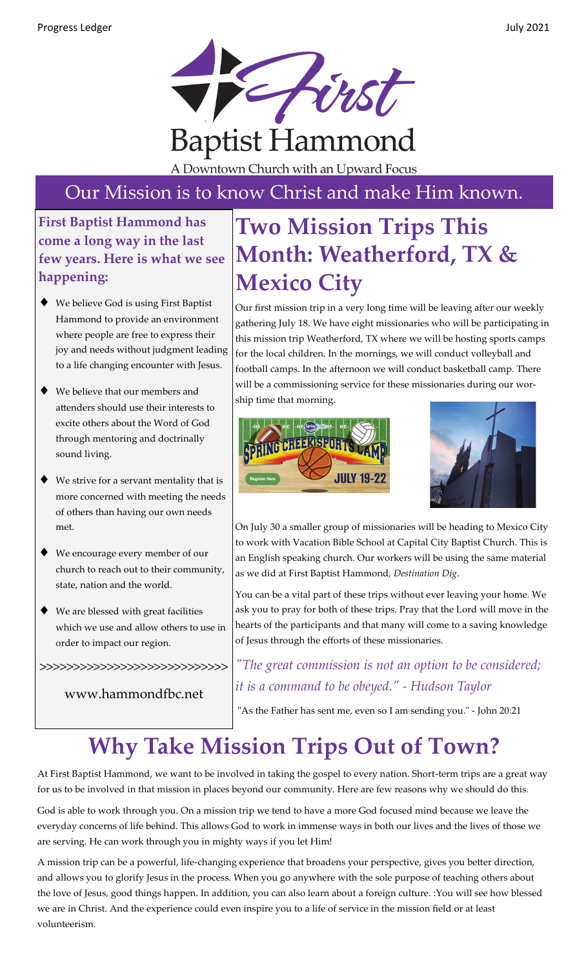

A Downtown Church with an Upward Focus

#### Our Mission is to know Christ and make Him known.

#### **First Baptist Hammond has come a long way in the last few years. Here is what we see happening:**

- ◆ We believe God is using First Baptist Hammond to provide an environment where people are free to express their joy and needs without judgment leading to a life changing encounter with Jesus.
- We believe that our members and attenders should use their interests to excite others about the Word of God through mentoring and doctrinally sound living.
- We strive for a servant mentality that is more concerned with meeting the needs of others than having our own needs met.
- We encourage every member of our church to reach out to their community, state, nation and the world.
- We are blessed with great facilities which we use and allow others to use in order to impact our region.

>>>>>>>>>>>>>>>>>>>>>>>>>>>>

www.hammondfbc.net

# **Two Mission Trips This Month: Weatherford, TX & Mexico City**

Our first mission trip in a very long time will be leaving after our weekly gathering July 18. We have eight missionaries who will be participating in this mission trip Weatherford, TX where we will be hosting sports camps for the local children. In the mornings, we will conduct volleyball and football camps. In the afternoon we will conduct basketball camp. There will be a commissioning service for these missionaries during our worship time that morning.





On July 30 a smaller group of missionaries will be heading to Mexico City to work with Vacation Bible School at Capital City Baptist Church. This is an English speaking church. Our workers will be using the same material as we did at First Baptist Hammond, *Destination Dig*.

You can be a vital part of these trips without ever leaving your home. We ask you to pray for both of these trips. Pray that the Lord will move in the hearts of the participants and that many will come to a saving knowledge of Jesus through the efforts of these missionaries.

*"The great commission is not an option to be considered; it is a command to be obeyed." - Hudson Taylor*

"As the Father has sent me, even so I am sending you." - John 20:21

## **Why Take Mission Trips Out of Town?**

At First Baptist Hammond, we want to be involved in taking the gospel to every nation. Short-term trips are a great way for us to be involved in that mission in places beyond our community. Here are few reasons why we should do this.

God is able to work through you. On a mission trip we tend to have a more God focused mind because we leave the everyday concerns of life behind. This allows God to work in immense ways in both our lives and the lives of those we are serving. He can work through you in mighty ways if you let Him!

A mission trip can be a powerful, life-changing experience that broadens your perspective, gives you better direction, and allows you to glorify Jesus in the process. When you go anywhere with the sole purpose of teaching others about the love of Jesus, good things happen. In addition, you can also learn about a foreign culture. :You will see how blessed we are in Christ. And the experience could even inspire you to a life of service in the mission field or at least volunteerism.